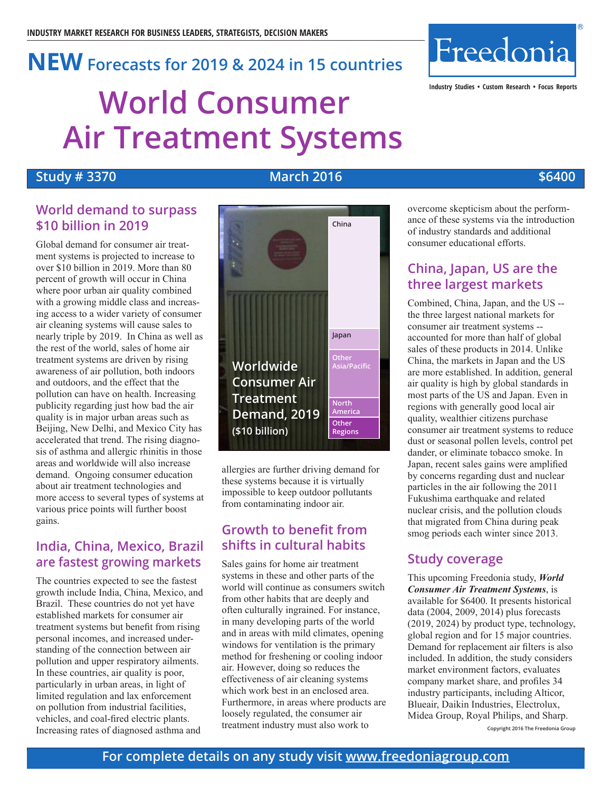# **World Consumer Air Treatment Systems NEW Forecasts for <sup>2019</sup> & <sup>2024</sup> in <sup>15</sup> countries**

# **Study # 3370 March 2016 \$6400**

**China**

# **World demand to surpass \$10 billion in 2019**

Global demand for consumer air treatment systems is projected to increase to over \$10 billion in 2019. More than 80 percent of growth will occur in China where poor urban air quality combined with a growing middle class and increasing access to a wider variety of consumer air cleaning systems will cause sales to nearly triple by 2019. In China as well as the rest of the world, sales of home air treatment systems are driven by rising awareness of air pollution, both indoors and outdoors, and the effect that the pollution can have on health. Increasing publicity regarding just how bad the air quality is in major urban areas such as Beijing, New Delhi, and Mexico City has accelerated that trend. The rising diagnosis of asthma and allergic rhinitis in those areas and worldwide will also increase demand. Ongoing consumer education about air treatment technologies and more access to several types of systems at various price points will further boost gains.

# **India, China, Mexico, Brazil are fastest growing markets**

The countries expected to see the fastest growth include India, China, Mexico, and Brazil. These countries do not yet have established markets for consumer air treatment systems but benefit from rising personal incomes, and increased understanding of the connection between air pollution and upper respiratory ailments. In these countries, air quality is poor, particularly in urban areas, in light of limited regulation and lax enforcement on pollution from industrial facilities, vehicles, and coal-fired electric plants. Increasing rates of diagnosed asthma and



these systems because it is virtually impossible to keep outdoor pollutants from contaminating indoor air.

# **Growth to benefit from shifts in cultural habits**

Sales gains for home air treatment systems in these and other parts of the world will continue as consumers switch from other habits that are deeply and often culturally ingrained. For instance, in many developing parts of the world and in areas with mild climates, opening windows for ventilation is the primary method for freshening or cooling indoor air. However, doing so reduces the effectiveness of air cleaning systems which work best in an enclosed area. Furthermore, in areas where products are loosely regulated, the consumer air treatment industry must also work to

overcome skepticism about the performance of these systems via the introduction of industry standards and additional consumer educational efforts.

**Industry Studies • Custom Research • Focus Reports**

Freedonia

# **China, Japan, US are the three largest markets**

Combined, China, Japan, and the US - the three largest national markets for consumer air treatment systems - accounted for more than half of global sales of these products in 2014. Unlike China, the markets in Japan and the US are more established. In addition, general air quality is high by global standards in most parts of the US and Japan. Even in regions with generally good local air quality, wealthier citizens purchase consumer air treatment systems to reduce dust or seasonal pollen levels, control pet dander, or eliminate tobacco smoke. In Japan, recent sales gains were amplified by concerns regarding dust and nuclear particles in the air following the 2011 Fukushima earthquake and related nuclear crisis, and the pollution clouds that migrated from China during peak smog periods each winter since 2013.

# **Study coverage**

This upcoming Freedonia study, *World Consumer Air Treatment Systems*, is available for \$6400. It presents historical data (2004, 2009, 2014) plus forecasts (2019, 2024) by product type, technology, global region and for 15 major countries. Demand for replacement air filters is also included. In addition, the study considers market environment factors, evaluates company market share, and profiles 34 industry participants, including Alticor, Blueair, Daikin Industries, Electrolux, Midea Group, Royal Philips, and Sharp.

**Copyright 2016 The Freedonia Group**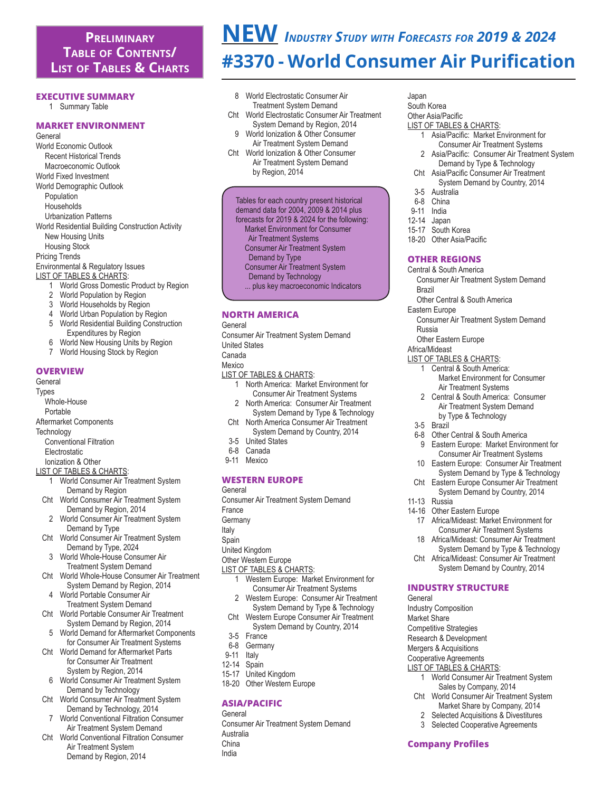# **Preliminary Table of Contents/ List of Tables & Charts**

#### **EXecutive Summary**

1 Summary Table

#### **MArket Environment**

- General World Economic Outlook Recent Historical Trends Macroeconomic Outlook World Fixed Investment World Demographic Outlook Population Households Urbanization Patterns World Residential Building Construction Activity New Housing Units Housing Stock Pricing Trends Environmental & Regulatory Issues LIST OF TABLES & CHARTS: **World Gross Domestic Product by Region** 2 World Population by Region
	- 3 World Households by Region
	-
	- 4 World Urban Population by Region 5 World Residential Building Construction
	- Expenditures by Region<br>6 World New Housing Units I
	- World New Housing Units by Region
	- 7 World Housing Stock by Region

#### **OVERVIEW**

- General Types
	- Whole-House
- Portable
- Aftermarket Components
- **Technology** 
	- Conventional Filtration
	- Electrostatic
- Ionization & Other
- LIST OF TABLES & CHARTS:
	- **World Consumer Air Treatment System**  Demand by Region
	- Cht World Consumer Air Treatment System Demand by Region, 2014
	- 2 World Consumer Air Treatment System Demand by Type
	- Cht World Consumer Air Treatment System Demand by Type, 2024
	- 3 World Whole-House Consumer Air Treatment System Demand
	- Cht World Whole-House Consumer Air Treatment System Demand by Region, 2014
	- 4 World Portable Consumer Air Treatment System Demand
	- Cht World Portable Consumer Air Treatment System Demand by Region, 2014
	- 5 World Demand for Aftermarket Components for Consumer Air Treatment Systems
	- Cht World Demand for Aftermarket Parts for Consumer Air Treatment System by Region, 2014
	- 6 World Consumer Air Treatment System Demand by Technology
	- Cht World Consumer Air Treatment System Demand by Technology, 2014
	- 7 World Conventional Filtration Consumer Air Treatment System Demand
	- Cht World Conventional Filtration Consumer Air Treatment System Demand by Region, 2014

# **NEW** *Industry Study with Forecasts for 2019 & 2024* **#3370 - World Consumer Air Purification**

- 8 World Electrostatic Consumer Air Treatment System Demand Cht World Electrostatic Consumer Air Treatment System Demand by Region, 2014 9 World Ionization & Other Consumer Air Treatment System Demand
- Cht World Ionization & Other Consumer Air Treatment System Demand by Region, 2014

 Tables for each country present historical demand data for 2004, 2009 & 2014 plus

- forecasts for 2019 & 2024 for the following:
- Market Environment for Consumer
- Air Treatment Systems
- Consumer Air Treatment System
- Demand by Type Consumer Air Treatment System
- 
- Demand by Technology
- ... plus key macroeconomic Indicators

# **NORTH AMERICA**

# General

- Consumer Air Treatment System Demand
- United States
- Canada
- Mexico
- LIST OF TABLES & CHARTS:
	- 1 North America: Market Environment for Consumer Air Treatment Systems
	- 2 North America: Consumer Air Treatment System Demand by Type & Technology
	- Cht North America Consumer Air Treatment
	- System Demand by Country, 2014 3-5 United States
- 6-8 Canada
- 9-11 Mexico

# **WESTERN EUROPE**

- General
- Consumer Air Treatment System Demand
- France
- **Germany**
- Italy
- Spain
- United Kingdom
- Other Western Europe
- LIST OF TABLES & CHARTS:
	- 1 Western Europe: Market Environment for Consumer Air Treatment Systems<br>2 Mestern Furone: Consumer Air Trea
	- Western Europe: Consumer Air Treatment System Demand by Type & Technology
	- Cht Western Europe Consumer Air Treatment System Demand by Country, 2014
	- 3-5 France<br>6-8 Germar
	- Germany<br>Italy
- $9 11$
- 12-14 Spain
- 15-17 United Kingdom
- 18-20 Other Western Europe

# **ASIA/PACIFIC**

**General** Consumer Air Treatment System Demand Australia China India

- Japan South Korea
- Other Asia/Pacific
- LIST OF TABLES & CHARTS:
	- 1 Asia/Pacific: Market Environment for Consumer Air Treatment Systems<br>2 Asia/Pacific: Consumer Air Treatment
	- Asia/Pacific: Consumer Air Treatment System Demand by Type & Technology
- Cht Asia/Pacific Consumer Air Treatment System Demand by Country, 2014
- 
- 3-5 Australia<br>6-8 China
- 6-8 China<br>9-11 India **India**
- 12-14 Japan
- 15-17 South Korea
- 18-20 Other Asia/Pacific

#### **OTHER REGIONS**

- Central & South America
	- Consumer Air Treatment System Demand Brazil
- Other Central & South America
- Eastern Europe

 3-5 Brazil

 11-13 Russia

General

 14-16 Other Eastern Europe

**INDUSTRY STRUCTURE**

Industry Composition Market Share Competitive Strategies Research & Development Mergers & Acquisitions Cooperative Agreements LIST OF TABLES & CHARTS:

**Company Profiles**

 Consumer Air Treatment System Demand Russia

 Air Treatment Systems 2 Central & South America: Consumer Air Treatment System Demand by Type & Technology

6-8 Other Central & South America<br>9 Eastern Europe: Market Enviro

 Market Environment for Consumer

Eastern Europe: Market Environment for Consumer Air Treatment Systems 10 Eastern Europe: Consumer Air Treatment System Demand by Type & Technology Cht Eastern Europe Consumer Air Treatment System Demand by Country, 2014

 17 Africa/Mideast: Market Environment for Consumer Air Treatment Systems<br>18 Africa/Mideast: Consumer Air Treatm Africa/Mideast: Consumer Air Treatment System Demand by Type & Technology Cht Africa/Mideast: Consumer Air Treatment System Demand by Country, 2014

1 World Consumer Air Treatment System Sales by Company, 2014 Cht World Consumer Air Treatment System Market Share by Company, 2014<br>2 Selected Acquisitions & Divestitures Selected Acquisitions & Divestitures 3 Selected Cooperative Agreements

 Other Eastern Europe Africa/Mideast

LIST OF TABLES & CHARTS: 1 Central & South America: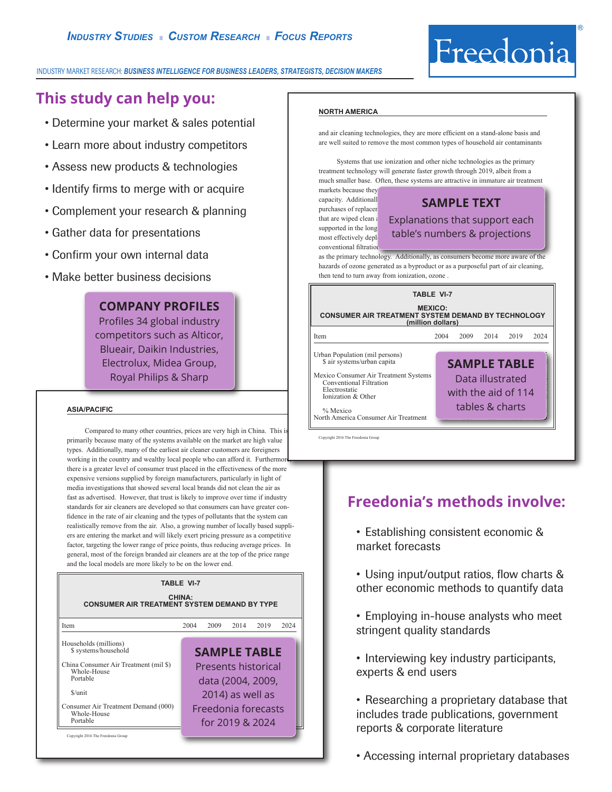

#### INDUSTRY MARKET RESEARCH: *BUSINESS INTELLIGENCE FOR BUSINESS LEADERS, STRATEGISTS, DECISION MAKERS*

# **This study can help you:**

- Determine your market & sales potential
- Learn more about industry competitors
- Assess new products & technologies
- Identify firms to merge with or acquire
- Complement your research & planning
- Gather data for presentations
- Confirm your own internal data
- Make better business decisions

# **COMPANY PROFILES**

Profiles 34 global industry competitors such as Alticor, Blueair, Daikin Industries, Electrolux, Midea Group, Royal Philips & Sharp

#### **asia/pacific**

Compared to many other countries, prices are very high in China. This is primarily because many of the systems available on the market are high value types. Additionally, many of the earliest air cleaner customers are foreigners working in the country and wealthy local people who can afford it. Furthermore, there is a greater level of consumer trust placed in the effectiveness of the more expensive versions supplied by foreign manufacturers, particularly in light of media investigations that showed several local brands did not clean the air as fast as advertised. However, that trust is likely to improve over time if industry standards for air cleaners are developed so that consumers can have greater confidence in the rate of air cleaning and the types of pollutants that the system can realistically remove from the air. Also, a growing number of locally based suppliers are entering the market and will likely exert pricing pressure as a competitive factor, targeting the lower range of price points, thus reducing average prices. In general, most of the foreign branded air cleaners are at the top of the price range and the local models are more likely to be on the lower end.

#### **TABLE VI-7**

| <b>CHINA:</b><br><b>CONSUMER AIR TREATMENT SYSTEM DEMAND BY TYPE</b>                                                                                                                           |      |      |      |                                                                                                                                      |      |  |  |  |
|------------------------------------------------------------------------------------------------------------------------------------------------------------------------------------------------|------|------|------|--------------------------------------------------------------------------------------------------------------------------------------|------|--|--|--|
| Item                                                                                                                                                                                           | 2004 | 2009 | 2014 | 2019                                                                                                                                 | 2024 |  |  |  |
| Households (millions)<br>\$ systems/household<br>China Consumer Air Treatment (mil \$)<br>Whole-House<br>Portable<br>\$/unit<br>Consumer Air Treatment Demand (000)<br>Whole-House<br>Portable |      |      |      | <b>SAMPLE TABLE</b><br><b>Presents historical</b><br>data (2004, 2009,<br>2014) as well as<br>Freedonia forecasts<br>for 2019 & 2024 |      |  |  |  |
| Copyright 2016 The Freedonia Group                                                                                                                                                             |      |      |      |                                                                                                                                      |      |  |  |  |

#### **north america**

and air cleaning technologies, they are more efficient on a stand-alone basis and are well suited to remove the most common types of household air contaminants

Systems that use ionization and other niche technologies as the primary treatment technology will generate faster growth through 2019, albeit from a much smaller base. Often, these systems are attractive in immature air treatment markets because they

purchases of replacer conventional filtration

# capacity. Additionall<br>purchases of replacer **SAMPLE TEXT** that are wiped clean  $\ell$  Explanations that support each supported in the longer run. In general, many of these other technologies are technologies are technologies are technologies are technologies are technologies are technologies are technologies are technologies are technol  $\frac{M_{\text{most}}}{M_{\text{most}}}$  effectively deployed table's numbers & projections

as the primary technology. Additionally, as consumers become more aware of the hazards of ozone generated as a byproduct or as a purposeful part of air cleaning, then tend to turn away from ionization, ozone .

| <b>TABLE VI-7</b>                                                                                                                                                                    |      |                                            |                 |                  |      |  |  |  |
|--------------------------------------------------------------------------------------------------------------------------------------------------------------------------------------|------|--------------------------------------------|-----------------|------------------|------|--|--|--|
| <b>MEXICO:</b><br><b>CONSUMER AIR TREATMENT SYSTEM DEMAND BY TECHNOLOGY</b><br>(million dollars)                                                                                     |      |                                            |                 |                  |      |  |  |  |
| Item                                                                                                                                                                                 | 2004 | 2009                                       | 2014            | 2019             | 2024 |  |  |  |
| Urban Population (mil persons)<br>\$ air systems/urban capita<br>Mexico Consumer Air Treatment Systems<br>Conventional Filtration<br>Electrostatic<br>Ionization & Other<br>% Mexico |      | <b>SAMPLE TABLE</b><br>with the aid of 114 | tables & charts | Data illustrated |      |  |  |  |
| North America Consumer Air Treatment                                                                                                                                                 |      |                                            |                 |                  |      |  |  |  |

Copyright 2016 The Freedonia Group

# **Freedonia's methods involve:**

- Establishing consistent economic & market forecasts
- Using input/output ratios, flow charts & other economic methods to quantify data
- Employing in-house analysts who meet stringent quality standards
- Interviewing key industry participants, experts & end users
- Researching a proprietary database that includes trade publications, government reports & corporate literature
- Accessing internal proprietary databases